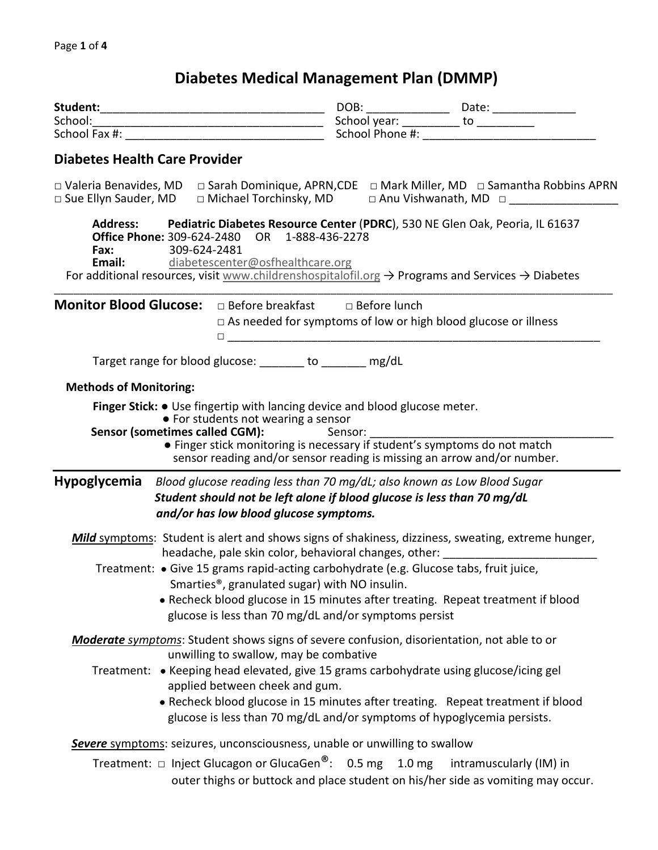# **Diabetes Medical Management Plan (DMMP)**

| School:                                                                                                                                                                                                                                                                                                                                           | School year: ___________ to __________                                                                                                                                                    |  |  |  |
|---------------------------------------------------------------------------------------------------------------------------------------------------------------------------------------------------------------------------------------------------------------------------------------------------------------------------------------------------|-------------------------------------------------------------------------------------------------------------------------------------------------------------------------------------------|--|--|--|
|                                                                                                                                                                                                                                                                                                                                                   |                                                                                                                                                                                           |  |  |  |
| <b>Diabetes Health Care Provider</b>                                                                                                                                                                                                                                                                                                              |                                                                                                                                                                                           |  |  |  |
|                                                                                                                                                                                                                                                                                                                                                   | □ Valeria Benavides, MD □ Sarah Dominique, APRN, CDE □ Mark Miller, MD □ Samantha Robbins APRN<br>□ Sue Ellyn Sauder, MD □ Michael Torchinsky, MD □ Anu Vishwanath, MD □ ________________ |  |  |  |
| Address: Pediatric Diabetes Resource Center (PDRC), 530 NE Glen Oak, Peoria, IL 61637<br><b>Office Phone: 309-624-2480</b><br>OR 1-888-436-2278<br>309-624-2481<br>Fax:<br>Email:<br>diabetescenter@osfhealthcare.org<br>For additional resources, visit www.childrenshospitalofil.org $\rightarrow$ Programs and Services $\rightarrow$ Diabetes |                                                                                                                                                                                           |  |  |  |
|                                                                                                                                                                                                                                                                                                                                                   |                                                                                                                                                                                           |  |  |  |
|                                                                                                                                                                                                                                                                                                                                                   | $\Box$ As needed for symptoms of low or high blood glucose or illness                                                                                                                     |  |  |  |
|                                                                                                                                                                                                                                                                                                                                                   |                                                                                                                                                                                           |  |  |  |
| Target range for blood glucose: _______ to _______ mg/dL                                                                                                                                                                                                                                                                                          |                                                                                                                                                                                           |  |  |  |
| <b>Methods of Monitoring:</b>                                                                                                                                                                                                                                                                                                                     |                                                                                                                                                                                           |  |  |  |
| Finger Stick: • Use fingertip with lancing device and blood glucose meter.                                                                                                                                                                                                                                                                        |                                                                                                                                                                                           |  |  |  |
| • For students not wearing a sensor                                                                                                                                                                                                                                                                                                               |                                                                                                                                                                                           |  |  |  |
| Sensor (sometimes called CGM):                                                                                                                                                                                                                                                                                                                    | Sensor:<br>• Finger stick monitoring is necessary if student's symptoms do not match                                                                                                      |  |  |  |
|                                                                                                                                                                                                                                                                                                                                                   | sensor reading and/or sensor reading is missing an arrow and/or number.                                                                                                                   |  |  |  |
| Hypoglycemia                                                                                                                                                                                                                                                                                                                                      | Blood glucose reading less than 70 mg/dL; also known as Low Blood Sugar                                                                                                                   |  |  |  |
|                                                                                                                                                                                                                                                                                                                                                   | Student should not be left alone if blood glucose is less than 70 mg/dL                                                                                                                   |  |  |  |
| and/or has low blood glucose symptoms.                                                                                                                                                                                                                                                                                                            |                                                                                                                                                                                           |  |  |  |
|                                                                                                                                                                                                                                                                                                                                                   | <b>Mild</b> symptoms: Student is alert and shows signs of shakiness, dizziness, sweating, extreme hunger,                                                                                 |  |  |  |
| Treatment: • Give 15 grams rapid-acting carbohydrate (e.g. Glucose tabs, fruit juice,                                                                                                                                                                                                                                                             | headache, pale skin color, behavioral changes, other: __________________________                                                                                                          |  |  |  |
| Smarties <sup>®</sup> , granulated sugar) with NO insulin.                                                                                                                                                                                                                                                                                        |                                                                                                                                                                                           |  |  |  |
| • Recheck blood glucose in 15 minutes after treating. Repeat treatment if blood                                                                                                                                                                                                                                                                   |                                                                                                                                                                                           |  |  |  |
| glucose is less than 70 mg/dL and/or symptoms persist                                                                                                                                                                                                                                                                                             |                                                                                                                                                                                           |  |  |  |
| Moderate symptoms: Student shows signs of severe confusion, disorientation, not able to or                                                                                                                                                                                                                                                        |                                                                                                                                                                                           |  |  |  |
| unwilling to swallow, may be combative                                                                                                                                                                                                                                                                                                            |                                                                                                                                                                                           |  |  |  |
| Treatment: • Keeping head elevated, give 15 grams carbohydrate using glucose/icing gel                                                                                                                                                                                                                                                            |                                                                                                                                                                                           |  |  |  |
| applied between cheek and gum.                                                                                                                                                                                                                                                                                                                    | • Recheck blood glucose in 15 minutes after treating. Repeat treatment if blood                                                                                                           |  |  |  |
|                                                                                                                                                                                                                                                                                                                                                   | glucose is less than 70 mg/dL and/or symptoms of hypoglycemia persists.                                                                                                                   |  |  |  |
|                                                                                                                                                                                                                                                                                                                                                   |                                                                                                                                                                                           |  |  |  |
| Severe symptoms: seizures, unconsciousness, unable or unwilling to swallow                                                                                                                                                                                                                                                                        |                                                                                                                                                                                           |  |  |  |
|                                                                                                                                                                                                                                                                                                                                                   | Treatment: $\Box$ Inject Glucagon or GlucaGen <sup>®</sup> : 0.5 mg 1.0 mg intramuscularly (IM) in<br>outer thighs or buttock and place student on his/her side as vomiting may occur.    |  |  |  |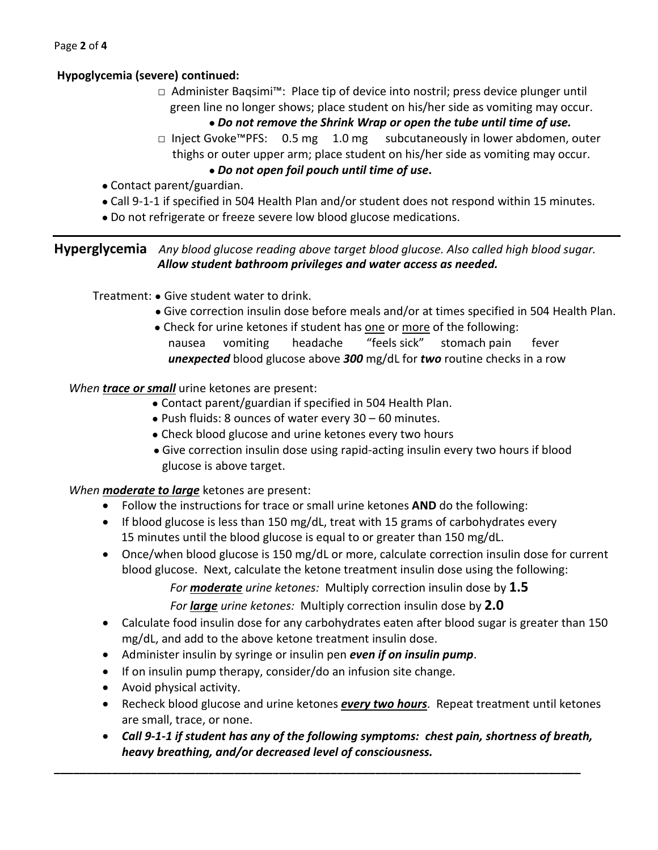## **Hypoglycemia (severe) continued:**

- **□** Administer Baqsimi™: Place tip of device into nostril; press device plunger until green line no longer shows; place student on his/her side as vomiting may occur.
	- *Do not remove the Shrink Wrap or open the tube until time of use.*
- **□** Inject Gvoke™PFS: 0.5 mg 1.0 mg subcutaneously in lower abdomen, outer thighs or outer upper arm; place student on his/her side as vomiting may occur.
	- *Do not open foil pouch until time of use***.**
- Contact parent/guardian.
- Call 9-1-1 if specified in 504 Health Plan and/or student does not respond within 15 minutes.
- Do not refrigerate or freeze severe low blood glucose medications.

### **Hyperglycemia** *Any blood glucose reading above target blood glucose. Also called high blood sugar. Allow student bathroom privileges and water access as needed.*

Treatment: ● Give student water to drink.

- Give correction insulin dose before meals and/or at times specified in 504 Health Plan.
- Check for urine ketones if student has one or more of the following: nausea vomiting headache "feels sick" stomach pain fever *unexpected* blood glucose above *300* mg/dL for *two* routine checks in a row

# *When trace or small* urine ketones are present:

- Contact parent/guardian if specified in 504 Health Plan.
- Push fluids: 8 ounces of water every 30 60 minutes.
- Check blood glucose and urine ketones every two hours
- Give correction insulin dose using rapid-acting insulin every two hours if blood glucose is above target.

*When moderate to large* ketones are present:

- Follow the instructions for trace or small urine ketones **AND** do the following:
- If blood glucose is less than 150 mg/dL, treat with 15 grams of carbohydrates every 15 minutes until the blood glucose is equal to or greater than 150 mg/dL.
- Once/when blood glucose is 150 mg/dL or more, calculate correction insulin dose for current blood glucose. Next, calculate the ketone treatment insulin dose using the following:

*For moderate urine ketones:* Multiply correction insulin dose by **1.5**

*For large urine ketones:* Multiply correction insulin dose by **2.0**

- Calculate food insulin dose for any carbohydrates eaten after blood sugar is greater than 150 mg/dL, and add to the above ketone treatment insulin dose.
- Administer insulin by syringe or insulin pen *even if on insulin pump*.
- If on insulin pump therapy, consider/do an infusion site change.
- Avoid physical activity.
- Recheck blood glucose and urine ketones *every two hours*. Repeat treatment until ketones are small, trace, or none.
- *Call 9-1-1 if student has any of the following symptoms: chest pain, shortness of breath, heavy breathing, and/or decreased level of consciousness.*

**\_\_\_\_\_\_\_\_\_\_\_\_\_\_\_\_\_\_\_\_\_\_\_\_\_\_\_\_\_\_\_\_\_\_\_\_\_\_\_\_\_\_\_\_\_\_\_\_\_\_\_\_\_\_\_\_\_\_\_\_\_\_\_\_\_\_\_\_\_\_\_\_\_\_\_\_\_\_\_\_\_\_**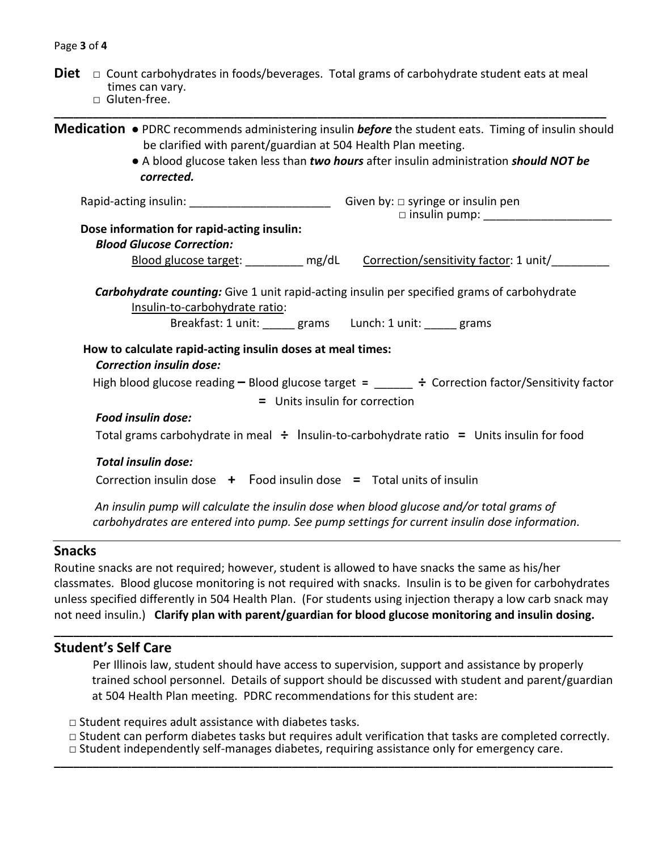- **Diet** □ Count carbohydrates in foods/beverages. Total grams of carbohydrate student eats at meal times can vary.
- □ Gluten-free. **\_\_\_\_\_\_\_\_\_\_\_\_\_\_\_\_\_\_\_\_\_\_\_\_\_\_\_\_\_\_\_\_\_\_\_\_\_\_\_\_\_\_\_\_\_\_\_\_\_\_\_\_\_\_\_\_\_\_\_\_\_\_\_\_\_\_\_\_\_\_\_\_\_\_\_\_\_\_\_\_\_\_\_\_\_\_**

| corrected.                                                                     | <b>Medication •</b> PDRC recommends administering insulin <b>before</b> the student eats. Timing of insulin should<br>be clarified with parent/guardian at 504 Health Plan meeting.<br>• A blood glucose taken less than two hours after insulin administration should NOT be                                                             |  |  |  |
|--------------------------------------------------------------------------------|-------------------------------------------------------------------------------------------------------------------------------------------------------------------------------------------------------------------------------------------------------------------------------------------------------------------------------------------|--|--|--|
|                                                                                | □ insulin pump: _______________________                                                                                                                                                                                                                                                                                                   |  |  |  |
| Dose information for rapid-acting insulin:<br><b>Blood Glucose Correction:</b> |                                                                                                                                                                                                                                                                                                                                           |  |  |  |
|                                                                                | Blood glucose target: ________ mg/dL Correction/sensitivity factor: 1 unit/_________                                                                                                                                                                                                                                                      |  |  |  |
| Insulin-to-carbohydrate ratio:<br><b>Correction insulin dose:</b>              | <b>Carbohydrate counting:</b> Give 1 unit rapid-acting insulin per specified grams of carbohydrate<br>Breakfast: 1 unit: _____ grams Lunch: 1 unit: _____ grams<br>How to calculate rapid-acting insulin doses at meal times:<br>High blood glucose reading $-$ Blood glucose target = $\frac{+}{+}$ Correction factor/Sensitivity factor |  |  |  |
| = Units insulin for correction                                                 |                                                                                                                                                                                                                                                                                                                                           |  |  |  |
| Food insulin dose:                                                             | Total grams carbohydrate in meal $\div$ Insulin-to-carbohydrate ratio = Units insulin for food                                                                                                                                                                                                                                            |  |  |  |
| <b>Total insulin dose:</b>                                                     |                                                                                                                                                                                                                                                                                                                                           |  |  |  |
|                                                                                | Correction insulin dose $+$ Food insulin dose $=$ Total units of insulin                                                                                                                                                                                                                                                                  |  |  |  |
|                                                                                | An insulin pump will calculate the insulin dose when blood glucose and/or total grams of<br>carbohydrates are entered into pump. See pump settings for current insulin dose information.                                                                                                                                                  |  |  |  |

## **Snacks**

Routine snacks are not required; however, student is allowed to have snacks the same as his/her classmates. Blood glucose monitoring is not required with snacks. Insulin is to be given for carbohydrates unless specified differently in 504 Health Plan. (For students using injection therapy a low carb snack may not need insulin.) **Clarify plan with parent/guardian for blood glucose monitoring and insulin dosing.**

**\_\_\_\_\_\_\_\_\_\_\_\_\_\_\_\_\_\_\_\_\_\_\_\_\_\_\_\_\_\_\_\_\_\_\_\_\_\_\_\_\_\_\_\_\_\_\_\_\_\_\_\_\_\_\_\_\_\_\_\_\_\_\_\_\_\_\_\_\_\_\_\_\_\_\_\_\_\_\_\_\_\_\_\_\_\_\_**

#### **Student's Self Care**

Per Illinois law, student should have access to supervision, support and assistance by properly trained school personnel. Details of support should be discussed with student and parent/guardian at 504 Health Plan meeting. PDRC recommendations for this student are:

**□** Student requires adult assistance with diabetes tasks.

**□** Student can perform diabetes tasks but requires adult verification that tasks are completed correctly.

□ Student independently self-manages diabetes, requiring assistance only for emergency care. **\_\_\_\_\_\_\_\_\_\_\_\_\_\_\_\_\_\_\_\_\_\_\_\_\_\_\_\_\_\_\_\_\_\_\_\_\_\_\_\_\_\_\_\_\_\_\_\_\_\_\_\_\_\_\_\_\_\_\_\_\_\_\_\_\_\_\_\_\_\_\_\_\_\_\_\_\_\_\_\_\_\_\_\_\_\_\_**